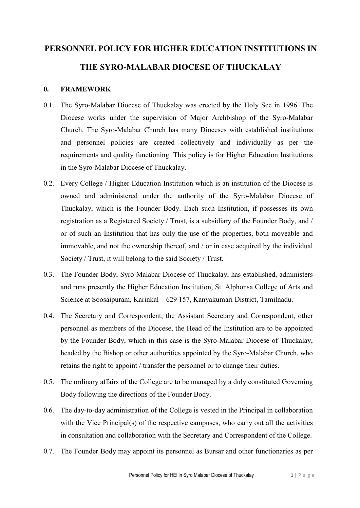# **PERSONNEL POLICY FOR HIGHER EDUCATION INSTITUTIONS IN**

## **THE SYRO-MALABAR DIOCESE OF THUCKALAY**

## **0. FRAMEWORK**

- 0.1. The Syro-Malabar Diocese of Thuckalay was erected by the Holy See in 1996. The Diocese works under the supervision of Major Archbishop of the Syro-Malabar Church. The Syro-Malabar Church has many Dioceses with established institutions and personnel policies are created collectively and individually as per the requirements and quality functioning. This policy is for Higher Education Institutions in the Syro-Malabar Diocese of Thuckalay.
- 0.2. Every College / Higher Education Institution which is an institution of the Diocese is owned and administered under the authority of the Syro-Malabar Diocese of Thuckalay, which is the Founder Body. Each such Institution, if possesses its own registration as a Registered Society / Trust, is a subsidiary of the Founder Body, and / or of such an Institution that has only the use of the properties, both moveable and immovable, and not the ownership thereof, and / or in case acquired by the individual Society / Trust, it will belong to the said Society / Trust.
- 0.3. The Founder Body, Syro Malabar Diocese of Thuckalay, has established, administers and runs presently the Higher Education Institution, St. Alphonsa College of Arts and Science at Soosaipuram, Karinkal – 629 157, Kanyakumari District, Tamilnadu.
- 0.4. The Secretary and Correspondent, the Assistant Secretary and Correspondent, other personnel as members of the Diocese, the Head of the Institution are to be appointed by the Founder Body, which in this case is the Syro-Malabar Diocese of Thuckalay, headed by the Bishop or other authorities appointed by the Syro-Malabar Church, who retains the right to appoint / transfer the personnel or to change their duties.
- 0.5. The ordinary affairs of the College are to be managed by a duly constituted Governing Body following the directions of the Founder Body.
- 0.6. The day-to-day administration of the College is vested in the Principal in collaboration with the Vice Principal(s) of the respective campuses, who carry out all the activities in consultation and collaboration with the Secretary and Correspondent of the College.
- 0.7. The Founder Body may appoint its personnel as Bursar and other functionaries as per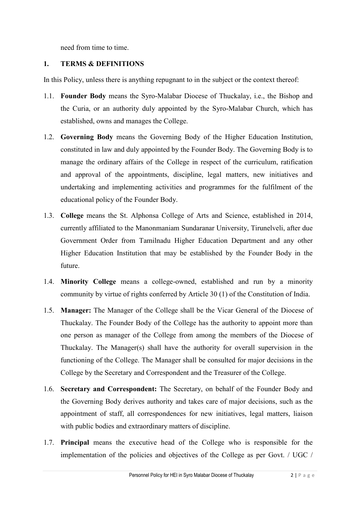need from time to time.

## **1. TERMS & DEFINITIONS**

In this Policy, unless there is anything repugnant to in the subject or the context thereof:

- 1.1. **Founder Body** means the Syro-Malabar Diocese of Thuckalay, i.e., the Bishop and the Curia, or an authority duly appointed by the Syro-Malabar Church, which has established, owns and manages the College.
- 1.2. **Governing Body** means the Governing Body of the Higher Education Institution, constituted in law and duly appointed by the Founder Body. The Governing Body is to manage the ordinary affairs of the College in respect of the curriculum, ratification and approval of the appointments, discipline, legal matters, new initiatives and undertaking and implementing activities and programmes for the fulfilment of the educational policy of the Founder Body.
- 1.3. **College** means the St. Alphonsa College of Arts and Science, established in 2014, currently affiliated to the Manonmaniam Sundaranar University, Tirunelveli, after due Government Order from Tamilnadu Higher Education Department and any other Higher Education Institution that may be established by the Founder Body in the future.
- 1.4. **Minority College** means a college-owned, established and run by a minority community by virtue of rights conferred by Article 30 (1) of the Constitution of India.
- 1.5. **Manager:** The Manager of the College shall be the Vicar General of the Diocese of Thuckalay. The Founder Body of the College has the authority to appoint more than one person as manager of the College from among the members of the Diocese of Thuckalay. The Manager(s) shall have the authority for overall supervision in the functioning of the College. The Manager shall be consulted for major decisions in the College by the Secretary and Correspondent and the Treasurer of the College.
- 1.6. **Secretary and Correspondent:** The Secretary, on behalf of the Founder Body and the Governing Body derives authority and takes care of major decisions, such as the appointment of staff, all correspondences for new initiatives, legal matters, liaison with public bodies and extraordinary matters of discipline.
- 1.7. **Principal** means the executive head of the College who is responsible for the implementation of the policies and objectives of the College as per Govt. / UGC /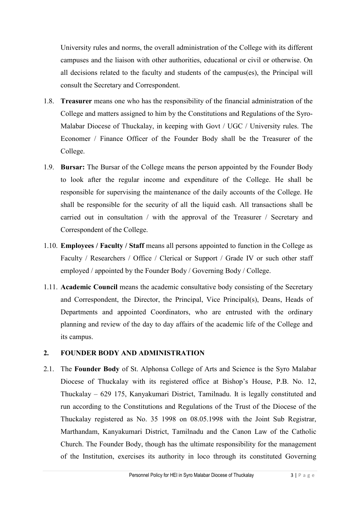University rules and norms, the overall administration of the College with its different campuses and the liaison with other authorities, educational or civil or otherwise. On all decisions related to the faculty and students of the campus(es), the Principal will consult the Secretary and Correspondent.

- 1.8. **Treasurer** means one who has the responsibility of the financial administration of the College and matters assigned to him by the Constitutions and Regulations of the Syro-Malabar Diocese of Thuckalay, in keeping with Govt / UGC / University rules. The Economer / Finance Officer of the Founder Body shall be the Treasurer of the College.
- 1.9. **Bursar:** The Bursar of the College means the person appointed by the Founder Body to look after the regular income and expenditure of the College. He shall be responsible for supervising the maintenance of the daily accounts of the College. He shall be responsible for the security of all the liquid cash. All transactions shall be carried out in consultation / with the approval of the Treasurer / Secretary and Correspondent of the College.
- 1.10. **Employees / Faculty / Staff** means all persons appointed to function in the College as Faculty / Researchers / Office / Clerical or Support / Grade IV or such other staff employed / appointed by the Founder Body / Governing Body / College.
- 1.11. **Academic Council** means the academic consultative body consisting of the Secretary and Correspondent, the Director, the Principal, Vice Principal(s), Deans, Heads of Departments and appointed Coordinators, who are entrusted with the ordinary planning and review of the day to day affairs of the academic life of the College and its campus.

## **2. FOUNDER BODY AND ADMINISTRATION**

2.1. The **Founder Body** of St. Alphonsa College of Arts and Science is the Syro Malabar Diocese of Thuckalay with its registered office at Bishop's House, P.B. No. 12, Thuckalay – 629 175, Kanyakumari District, Tamilnadu. It is legally constituted and run according to the Constitutions and Regulations of the Trust of the Diocese of the Thuckalay registered as No. 35 1998 on 08.05.1998 with the Joint Sub Registrar, Marthandam, Kanyakumari District, Tamilnadu and the Canon Law of the Catholic Church. The Founder Body, though has the ultimate responsibility for the management of the Institution, exercises its authority in loco through its constituted Governing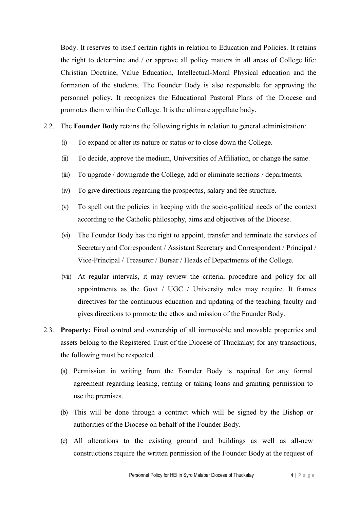Body. It reserves to itself certain rights in relation to Education and Policies. It retains the right to determine and / or approve all policy matters in all areas of College life: Christian Doctrine, Value Education, Intellectual-Moral Physical education and the formation of the students. The Founder Body is also responsible for approving the personnel policy. It recognizes the Educational Pastoral Plans of the Diocese and promotes them within the College. It is the ultimate appellate body.

- 2.2. The **Founder Body** retains the following rights in relation to general administration:
	- (i) To expand or alter its nature or status or to close down the College.
	- (ii) To decide, approve the medium, Universities of Affiliation, or change the same.
	- (iii) To upgrade / downgrade the College, add or eliminate sections / departments.
	- (iv) To give directions regarding the prospectus, salary and fee structure.
	- (v) To spell out the policies in keeping with the socio-political needs of the context according to the Catholic philosophy, aims and objectives of the Diocese.
	- (vi) The Founder Body has the right to appoint, transfer and terminate the services of Secretary and Correspondent / Assistant Secretary and Correspondent / Principal / Vice-Principal / Treasurer / Bursar / Heads of Departments of the College.
	- (vii) At regular intervals, it may review the criteria, procedure and policy for all appointments as the Govt / UGC / University rules may require. It frames directives for the continuous education and updating of the teaching faculty and gives directions to promote the ethos and mission of the Founder Body.
- 2.3. **Property:** Final control and ownership of all immovable and movable properties and assets belong to the Registered Trust of the Diocese of Thuckalay; for any transactions, the following must be respected.
	- (a) Permission in writing from the Founder Body is required for any formal agreement regarding leasing, renting or taking loans and granting permission to use the premises.
	- (b) This will be done through a contract which will be signed by the Bishop or authorities of the Diocese on behalf of the Founder Body.
	- (c) All alterations to the existing ground and buildings as well as all-new constructions require the written permission of the Founder Body at the request of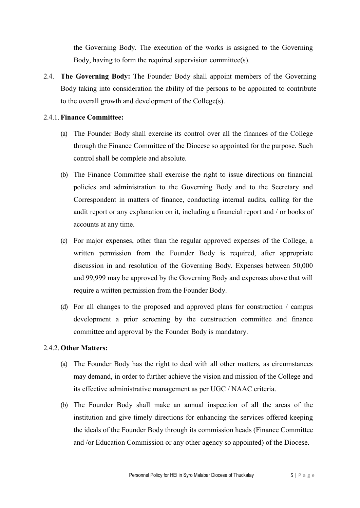the Governing Body. The execution of the works is assigned to the Governing Body, having to form the required supervision committee(s).

2.4. **The Governing Body:** The Founder Body shall appoint members of the Governing Body taking into consideration the ability of the persons to be appointed to contribute to the overall growth and development of the College(s).

### 2.4.1. **Finance Committee:**

- (a) The Founder Body shall exercise its control over all the finances of the College through the Finance Committee of the Diocese so appointed for the purpose. Such control shall be complete and absolute.
- (b) The Finance Committee shall exercise the right to issue directions on financial policies and administration to the Governing Body and to the Secretary and Correspondent in matters of finance, conducting internal audits, calling for the audit report or any explanation on it, including a financial report and / or books of accounts at any time.
- (c) For major expenses, other than the regular approved expenses of the College, a written permission from the Founder Body is required, after appropriate discussion in and resolution of the Governing Body. Expenses between 50,000 and 99,999 may be approved by the Governing Body and expenses above that will require a written permission from the Founder Body.
- (d) For all changes to the proposed and approved plans for construction / campus development a prior screening by the construction committee and finance committee and approval by the Founder Body is mandatory.

## 2.4.2. **Other Matters:**

- (a) The Founder Body has the right to deal with all other matters, as circumstances may demand, in order to further achieve the vision and mission of the College and its effective administrative management as per UGC / NAAC criteria.
- (b) The Founder Body shall make an annual inspection of all the areas of the institution and give timely directions for enhancing the services offered keeping the ideals of the Founder Body through its commission heads (Finance Committee and /or Education Commission or any other agency so appointed) of the Diocese.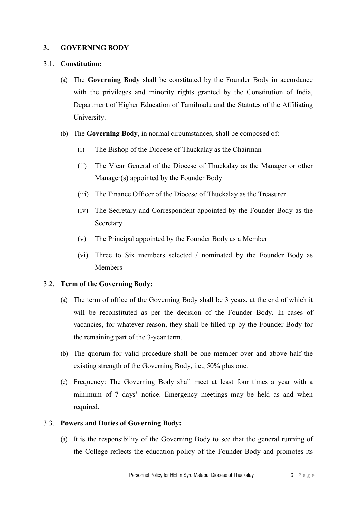## **3. GOVERNING BODY**

#### 3.1. **Constitution:**

- (a) The **Governing Body** shall be constituted by the Founder Body in accordance with the privileges and minority rights granted by the Constitution of India, Department of Higher Education of Tamilnadu and the Statutes of the Affiliating University.
- (b) The **Governing Body**, in normal circumstances, shall be composed of:
	- (i) The Bishop of the Diocese of Thuckalay as the Chairman
	- (ii) The Vicar General of the Diocese of Thuckalay as the Manager or other Manager(s) appointed by the Founder Body
	- (iii) The Finance Officer of the Diocese of Thuckalay as the Treasurer
	- (iv) The Secretary and Correspondent appointed by the Founder Body as the Secretary
	- (v) The Principal appointed by the Founder Body as a Member
	- (vi) Three to Six members selected / nominated by the Founder Body as Members

## 3.2. **Term of the Governing Body:**

- (a) The term of office of the Governing Body shall be 3 years, at the end of which it will be reconstituted as per the decision of the Founder Body. In cases of vacancies, for whatever reason, they shall be filled up by the Founder Body for the remaining part of the 3-year term.
- (b) The quorum for valid procedure shall be one member over and above half the existing strength of the Governing Body, i.e., 50% plus one.
- (c) Frequency: The Governing Body shall meet at least four times a year with a minimum of 7 days' notice. Emergency meetings may be held as and when required.

#### 3.3. **Powers and Duties of Governing Body:**

(a) It is the responsibility of the Governing Body to see that the general running of the College reflects the education policy of the Founder Body and promotes its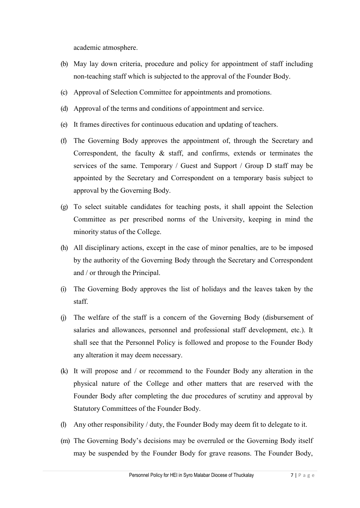academic atmosphere.

- (b) May lay down criteria, procedure and policy for appointment of staff including non-teaching staff which is subjected to the approval of the Founder Body.
- (c) Approval of Selection Committee for appointments and promotions.
- (d) Approval of the terms and conditions of appointment and service.
- (e) It frames directives for continuous education and updating of teachers.
- (f) The Governing Body approves the appointment of, through the Secretary and Correspondent, the faculty & staff, and confirms, extends or terminates the services of the same. Temporary / Guest and Support / Group D staff may be appointed by the Secretary and Correspondent on a temporary basis subject to approval by the Governing Body.
- (g) To select suitable candidates for teaching posts, it shall appoint the Selection Committee as per prescribed norms of the University, keeping in mind the minority status of the College.
- (h) All disciplinary actions, except in the case of minor penalties, are to be imposed by the authority of the Governing Body through the Secretary and Correspondent and / or through the Principal.
- (i) The Governing Body approves the list of holidays and the leaves taken by the staff.
- (j) The welfare of the staff is a concern of the Governing Body (disbursement of salaries and allowances, personnel and professional staff development, etc.). It shall see that the Personnel Policy is followed and propose to the Founder Body any alteration it may deem necessary.
- (k) It will propose and / or recommend to the Founder Body any alteration in the physical nature of the College and other matters that are reserved with the Founder Body after completing the due procedures of scrutiny and approval by Statutory Committees of the Founder Body.
- (l) Any other responsibility / duty, the Founder Body may deem fit to delegate to it.
- (m) The Governing Body's decisions may be overruled or the Governing Body itself may be suspended by the Founder Body for grave reasons. The Founder Body,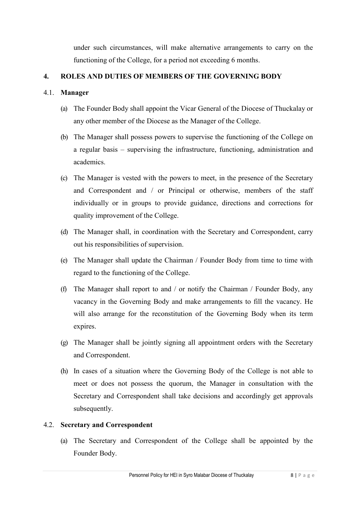under such circumstances, will make alternative arrangements to carry on the functioning of the College, for a period not exceeding 6 months.

## **4. ROLES AND DUTIES OF MEMBERS OF THE GOVERNING BODY**

## 4.1. **Manager**

- (a) The Founder Body shall appoint the Vicar General of the Diocese of Thuckalay or any other member of the Diocese as the Manager of the College.
- (b) The Manager shall possess powers to supervise the functioning of the College on a regular basis – supervising the infrastructure, functioning, administration and academics.
- (c) The Manager is vested with the powers to meet, in the presence of the Secretary and Correspondent and / or Principal or otherwise, members of the staff individually or in groups to provide guidance, directions and corrections for quality improvement of the College.
- (d) The Manager shall, in coordination with the Secretary and Correspondent, carry out his responsibilities of supervision.
- (e) The Manager shall update the Chairman / Founder Body from time to time with regard to the functioning of the College.
- (f) The Manager shall report to and / or notify the Chairman / Founder Body, any vacancy in the Governing Body and make arrangements to fill the vacancy. He will also arrange for the reconstitution of the Governing Body when its term expires.
- (g) The Manager shall be jointly signing all appointment orders with the Secretary and Correspondent.
- (h) In cases of a situation where the Governing Body of the College is not able to meet or does not possess the quorum, the Manager in consultation with the Secretary and Correspondent shall take decisions and accordingly get approvals subsequently.

## 4.2. **Secretary and Correspondent**

(a) The Secretary and Correspondent of the College shall be appointed by the Founder Body.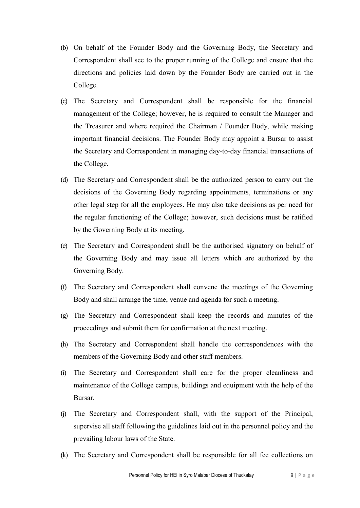- (b) On behalf of the Founder Body and the Governing Body, the Secretary and Correspondent shall see to the proper running of the College and ensure that the directions and policies laid down by the Founder Body are carried out in the College.
- (c) The Secretary and Correspondent shall be responsible for the financial management of the College; however, he is required to consult the Manager and the Treasurer and where required the Chairman / Founder Body, while making important financial decisions. The Founder Body may appoint a Bursar to assist the Secretary and Correspondent in managing day-to-day financial transactions of the College.
- (d) The Secretary and Correspondent shall be the authorized person to carry out the decisions of the Governing Body regarding appointments, terminations or any other legal step for all the employees. He may also take decisions as per need for the regular functioning of the College; however, such decisions must be ratified by the Governing Body at its meeting.
- (e) The Secretary and Correspondent shall be the authorised signatory on behalf of the Governing Body and may issue all letters which are authorized by the Governing Body.
- (f) The Secretary and Correspondent shall convene the meetings of the Governing Body and shall arrange the time, venue and agenda for such a meeting.
- (g) The Secretary and Correspondent shall keep the records and minutes of the proceedings and submit them for confirmation at the next meeting.
- (h) The Secretary and Correspondent shall handle the correspondences with the members of the Governing Body and other staff members.
- (i) The Secretary and Correspondent shall care for the proper cleanliness and maintenance of the College campus, buildings and equipment with the help of the Bursar.
- (j) The Secretary and Correspondent shall, with the support of the Principal, supervise all staff following the guidelines laid out in the personnel policy and the prevailing labour laws of the State.
- (k) The Secretary and Correspondent shall be responsible for all fee collections on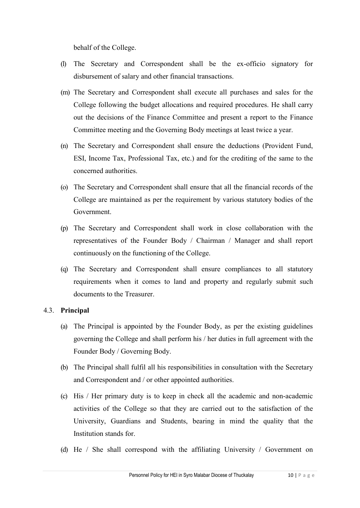behalf of the College.

- (l) The Secretary and Correspondent shall be the ex-officio signatory for disbursement of salary and other financial transactions.
- (m) The Secretary and Correspondent shall execute all purchases and sales for the College following the budget allocations and required procedures. He shall carry out the decisions of the Finance Committee and present a report to the Finance Committee meeting and the Governing Body meetings at least twice a year.
- (n) The Secretary and Correspondent shall ensure the deductions (Provident Fund, ESI, Income Tax, Professional Tax, etc.) and for the crediting of the same to the concerned authorities.
- (o) The Secretary and Correspondent shall ensure that all the financial records of the College are maintained as per the requirement by various statutory bodies of the Government.
- (p) The Secretary and Correspondent shall work in close collaboration with the representatives of the Founder Body / Chairman / Manager and shall report continuously on the functioning of the College.
- (q) The Secretary and Correspondent shall ensure compliances to all statutory requirements when it comes to land and property and regularly submit such documents to the Treasurer.

#### 4.3. **Principal**

- (a) The Principal is appointed by the Founder Body, as per the existing guidelines governing the College and shall perform his / her duties in full agreement with the Founder Body / Governing Body.
- (b) The Principal shall fulfil all his responsibilities in consultation with the Secretary and Correspondent and / or other appointed authorities.
- (c) His / Her primary duty is to keep in check all the academic and non-academic activities of the College so that they are carried out to the satisfaction of the University, Guardians and Students, bearing in mind the quality that the Institution stands for.
- (d) He / She shall correspond with the affiliating University / Government on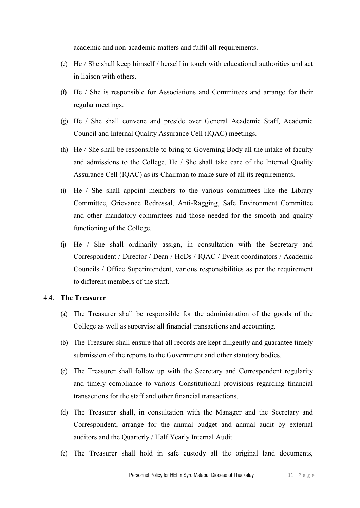academic and non-academic matters and fulfil all requirements.

- (e) He / She shall keep himself / herself in touch with educational authorities and act in liaison with others.
- (f) He / She is responsible for Associations and Committees and arrange for their regular meetings.
- (g) He / She shall convene and preside over General Academic Staff, Academic Council and Internal Quality Assurance Cell (IQAC) meetings.
- (h) He / She shall be responsible to bring to Governing Body all the intake of faculty and admissions to the College. He / She shall take care of the Internal Quality Assurance Cell (IQAC) as its Chairman to make sure of all its requirements.
- (i) He / She shall appoint members to the various committees like the Library Committee, Grievance Redressal, Anti-Ragging, Safe Environment Committee and other mandatory committees and those needed for the smooth and quality functioning of the College.
- (j) He / She shall ordinarily assign, in consultation with the Secretary and Correspondent / Director / Dean / HoDs / IQAC / Event coordinators / Academic Councils / Office Superintendent, various responsibilities as per the requirement to different members of the staff.

#### 4.4. **The Treasurer**

- (a) The Treasurer shall be responsible for the administration of the goods of the College as well as supervise all financial transactions and accounting.
- (b) The Treasurer shall ensure that all records are kept diligently and guarantee timely submission of the reports to the Government and other statutory bodies.
- (c) The Treasurer shall follow up with the Secretary and Correspondent regularity and timely compliance to various Constitutional provisions regarding financial transactions for the staff and other financial transactions.
- (d) The Treasurer shall, in consultation with the Manager and the Secretary and Correspondent, arrange for the annual budget and annual audit by external auditors and the Quarterly / Half Yearly Internal Audit.
- (e) The Treasurer shall hold in safe custody all the original land documents,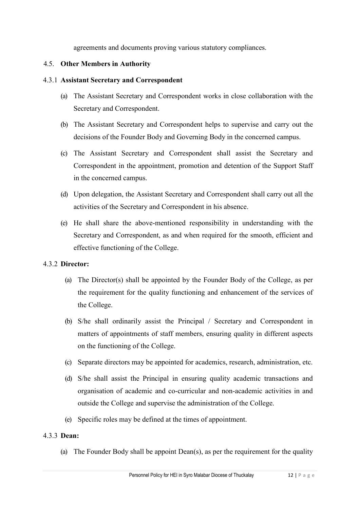agreements and documents proving various statutory compliances.

#### 4.5. **Other Members in Authority**

#### 4.3.1 **Assistant Secretary and Correspondent**

- (a) The Assistant Secretary and Correspondent works in close collaboration with the Secretary and Correspondent.
- (b) The Assistant Secretary and Correspondent helps to supervise and carry out the decisions of the Founder Body and Governing Body in the concerned campus.
- (c) The Assistant Secretary and Correspondent shall assist the Secretary and Correspondent in the appointment, promotion and detention of the Support Staff in the concerned campus.
- (d) Upon delegation, the Assistant Secretary and Correspondent shall carry out all the activities of the Secretary and Correspondent in his absence.
- (e) He shall share the above-mentioned responsibility in understanding with the Secretary and Correspondent, as and when required for the smooth, efficient and effective functioning of the College.

#### 4.3.2 **Director:**

- (a) The Director(s) shall be appointed by the Founder Body of the College, as per the requirement for the quality functioning and enhancement of the services of the College.
- (b) S/he shall ordinarily assist the Principal / Secretary and Correspondent in matters of appointments of staff members, ensuring quality in different aspects on the functioning of the College.
- (c) Separate directors may be appointed for academics, research, administration, etc.
- (d) S/he shall assist the Principal in ensuring quality academic transactions and organisation of academic and co-curricular and non-academic activities in and outside the College and supervise the administration of the College.
- (e) Specific roles may be defined at the times of appointment.

#### 4.3.3 **Dean:**

(a) The Founder Body shall be appoint Dean(s), as per the requirement for the quality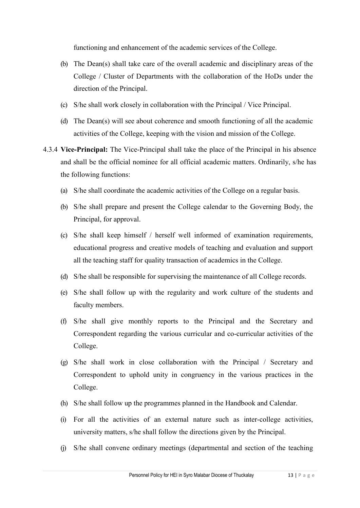functioning and enhancement of the academic services of the College.

- (b) The Dean(s) shall take care of the overall academic and disciplinary areas of the College / Cluster of Departments with the collaboration of the HoDs under the direction of the Principal.
- (c) S/he shall work closely in collaboration with the Principal / Vice Principal.
- (d) The Dean(s) will see about coherence and smooth functioning of all the academic activities of the College, keeping with the vision and mission of the College.
- 4.3.4 **Vice-Principal:** The Vice-Principal shall take the place of the Principal in his absence and shall be the official nominee for all official academic matters. Ordinarily, s/he has the following functions:
	- (a) S/he shall coordinate the academic activities of the College on a regular basis.
	- (b) S/he shall prepare and present the College calendar to the Governing Body, the Principal, for approval.
	- (c) S/he shall keep himself / herself well informed of examination requirements, educational progress and creative models of teaching and evaluation and support all the teaching staff for quality transaction of academics in the College.
	- (d) S/he shall be responsible for supervising the maintenance of all College records.
	- (e) S/he shall follow up with the regularity and work culture of the students and faculty members.
	- (f) S/he shall give monthly reports to the Principal and the Secretary and Correspondent regarding the various curricular and co-curricular activities of the College.
	- (g) S/he shall work in close collaboration with the Principal / Secretary and Correspondent to uphold unity in congruency in the various practices in the College.
	- (h) S/he shall follow up the programmes planned in the Handbook and Calendar.
	- (i) For all the activities of an external nature such as inter-college activities, university matters, s/he shall follow the directions given by the Principal.
	- (j) S/he shall convene ordinary meetings (departmental and section of the teaching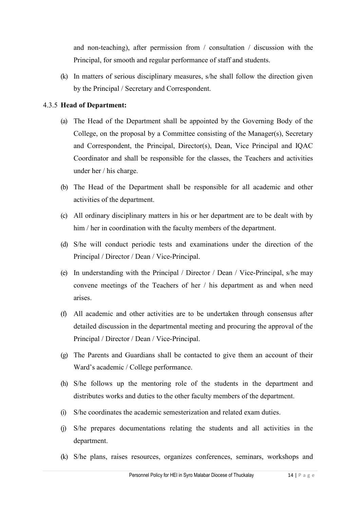and non-teaching), after permission from / consultation / discussion with the Principal, for smooth and regular performance of staff and students.

(k) In matters of serious disciplinary measures, s/he shall follow the direction given by the Principal / Secretary and Correspondent.

## 4.3.5 **Head of Department:**

- (a) The Head of the Department shall be appointed by the Governing Body of the College, on the proposal by a Committee consisting of the Manager(s), Secretary and Correspondent, the Principal, Director(s), Dean, Vice Principal and IQAC Coordinator and shall be responsible for the classes, the Teachers and activities under her / his charge.
- (b) The Head of the Department shall be responsible for all academic and other activities of the department.
- (c) All ordinary disciplinary matters in his or her department are to be dealt with by him / her in coordination with the faculty members of the department.
- (d) S/he will conduct periodic tests and examinations under the direction of the Principal / Director / Dean / Vice-Principal.
- (e) In understanding with the Principal / Director / Dean / Vice-Principal, s/he may convene meetings of the Teachers of her / his department as and when need arises.
- (f) All academic and other activities are to be undertaken through consensus after detailed discussion in the departmental meeting and procuring the approval of the Principal / Director / Dean / Vice-Principal.
- (g) The Parents and Guardians shall be contacted to give them an account of their Ward's academic / College performance.
- (h) S/he follows up the mentoring role of the students in the department and distributes works and duties to the other faculty members of the department.
- (i) S/he coordinates the academic semesterization and related exam duties.
- (j) S/he prepares documentations relating the students and all activities in the department.
- (k) S/he plans, raises resources, organizes conferences, seminars, workshops and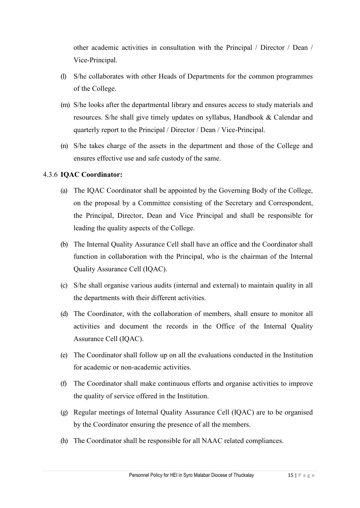other academic activities in consultation with the Principal / Director / Dean / Vice-Principal.

- (l) S/he collaborates with other Heads of Departments for the common programmes of the College.
- (m) S/he looks after the departmental library and ensures access to study materials and resources. S/he shall give timely updates on syllabus, Handbook & Calendar and quarterly report to the Principal / Director / Dean / Vice-Principal.
- (n) S/he takes charge of the assets in the department and those of the College and ensures effective use and safe custody of the same.

## 4.3.6 **IQAC Coordinator:**

- (a) The IQAC Coordinator shall be appointed by the Governing Body of the College, on the proposal by a Committee consisting of the Secretary and Correspondent, the Principal, Director, Dean and Vice Principal and shall be responsible for leading the quality aspects of the College.
- (b) The Internal Quality Assurance Cell shall have an office and the Coordinator shall function in collaboration with the Principal, who is the chairman of the Internal Quality Assurance Cell (IQAC).
- (c) S/he shall organise various audits (internal and external) to maintain quality in all the departments with their different activities.
- (d) The Coordinator, with the collaboration of members, shall ensure to monitor all activities and document the records in the Office of the Internal Quality Assurance Cell (IQAC).
- (e) The Coordinator shall follow up on all the evaluations conducted in the Institution for academic or non-academic activities.
- (f) The Coordinator shall make continuous efforts and organise activities to improve the quality of service offered in the Institution.
- (g) Regular meetings of Internal Quality Assurance Cell (IQAC) are to be organised by the Coordinator ensuring the presence of all the members.
- (h) The Coordinator shall be responsible for all NAAC related compliances.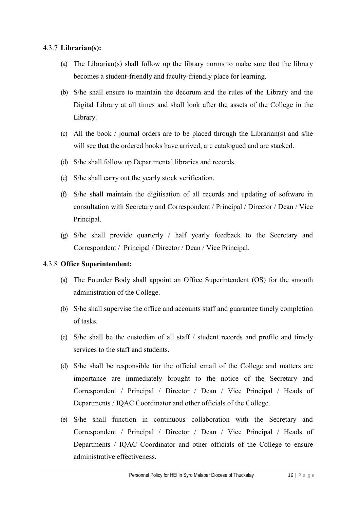#### 4.3.7 **Librarian(s):**

- (a) The Librarian(s) shall follow up the library norms to make sure that the library becomes a student-friendly and faculty-friendly place for learning.
- (b) S/he shall ensure to maintain the decorum and the rules of the Library and the Digital Library at all times and shall look after the assets of the College in the Library.
- (c) All the book / journal orders are to be placed through the Librarian(s) and s/he will see that the ordered books have arrived, are catalogued and are stacked.
- (d) S/he shall follow up Departmental libraries and records.
- (e) S/he shall carry out the yearly stock verification.
- (f) S/he shall maintain the digitisation of all records and updating of software in consultation with Secretary and Correspondent / Principal / Director / Dean / Vice Principal.
- (g) S/he shall provide quarterly / half yearly feedback to the Secretary and Correspondent / Principal / Director / Dean / Vice Principal.

#### 4.3.8 **Office Superintendent:**

- (a) The Founder Body shall appoint an Office Superintendent (OS) for the smooth administration of the College.
- (b) S/he shall supervise the office and accounts staff and guarantee timely completion of tasks.
- (c) S/he shall be the custodian of all staff / student records and profile and timely services to the staff and students.
- (d) S/he shall be responsible for the official email of the College and matters are importance are immediately brought to the notice of the Secretary and Correspondent / Principal / Director / Dean / Vice Principal / Heads of Departments / IQAC Coordinator and other officials of the College.
- (e) S/he shall function in continuous collaboration with the Secretary and Correspondent / Principal / Director / Dean / Vice Principal / Heads of Departments / IQAC Coordinator and other officials of the College to ensure administrative effectiveness.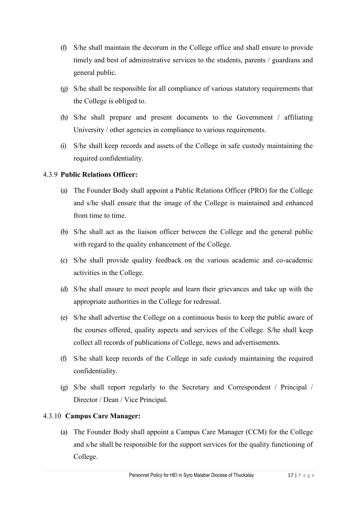- (f) S/he shall maintain the decorum in the College office and shall ensure to provide timely and best of administrative services to the students, parents / guardians and general public.
- (g) S/he shall be responsible for all compliance of various statutory requirements that the College is obliged to.
- (h) S/he shall prepare and present documents to the Government / affiliating University / other agencies in compliance to various requirements.
- (i) S/he shall keep records and assets of the College in safe custody maintaining the required confidentiality.

## 4.3.9 **Public Relations Officer:**

- (a) The Founder Body shall appoint a Public Relations Officer (PRO) for the College and s/he shall ensure that the image of the College is maintained and enhanced from time to time.
- (b) S/he shall act as the liaison officer between the College and the general public with regard to the quality enhancement of the College.
- (c) S/he shall provide quality feedback on the various academic and co-academic activities in the College.
- (d) S/he shall ensure to meet people and learn their grievances and take up with the appropriate authorities in the College for redressal.
- (e) S/he shall advertise the College on a continuous basis to keep the public aware of the courses offered, quality aspects and services of the College. S/he shall keep collect all records of publications of College, news and advertisements.
- (f) S/he shall keep records of the College in safe custody maintaining the required confidentiality.
- (g) S/he shall report regularly to the Secretary and Correspondent / Principal / Director / Dean / Vice Principal.

## 4.3.10 **Campus Care Manager:**

(a) The Founder Body shall appoint a Campus Care Manager (CCM) for the College and s/he shall be responsible for the support services for the quality functioning of College.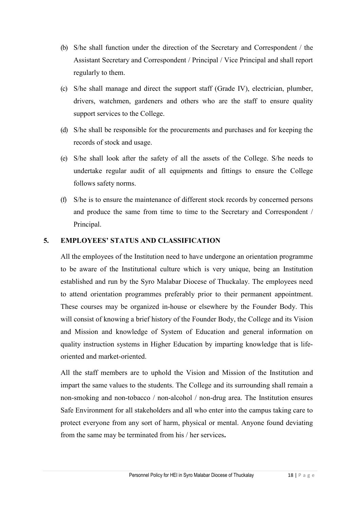- (b) S/he shall function under the direction of the Secretary and Correspondent / the Assistant Secretary and Correspondent / Principal / Vice Principal and shall report regularly to them.
- (c) S/he shall manage and direct the support staff (Grade IV), electrician, plumber, drivers, watchmen, gardeners and others who are the staff to ensure quality support services to the College.
- (d) S/he shall be responsible for the procurements and purchases and for keeping the records of stock and usage.
- (e) S/he shall look after the safety of all the assets of the College. S/he needs to undertake regular audit of all equipments and fittings to ensure the College follows safety norms.
- (f) S/he is to ensure the maintenance of different stock records by concerned persons and produce the same from time to time to the Secretary and Correspondent / Principal.

#### **5. EMPLOYEES' STATUS AND CLASSIFICATION**

All the employees of the Institution need to have undergone an orientation programme to be aware of the Institutional culture which is very unique, being an Institution established and run by the Syro Malabar Diocese of Thuckalay. The employees need to attend orientation programmes preferably prior to their permanent appointment. These courses may be organized in-house or elsewhere by the Founder Body. This will consist of knowing a brief history of the Founder Body, the College and its Vision and Mission and knowledge of System of Education and general information on quality instruction systems in Higher Education by imparting knowledge that is lifeoriented and market-oriented.

All the staff members are to uphold the Vision and Mission of the Institution and impart the same values to the students. The College and its surrounding shall remain a non-smoking and non-tobacco / non-alcohol / non-drug area. The Institution ensures Safe Environment for all stakeholders and all who enter into the campus taking care to protect everyone from any sort of harm, physical or mental. Anyone found deviating from the same may be terminated from his / her services**.**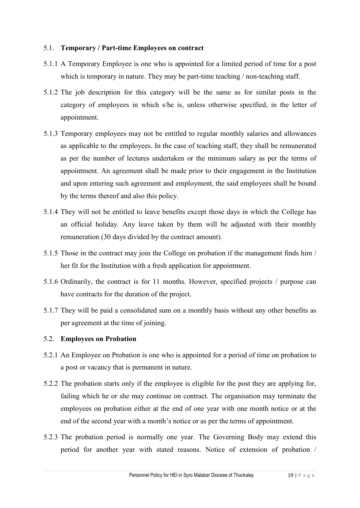#### 5.1. **Temporary / Part-time Employees on contract**

- 5.1.1 A Temporary Employee is one who is appointed for a limited period of time for a post which is temporary in nature. They may be part-time teaching / non-teaching staff.
- 5.1.2 The job description for this category will be the same as for similar posts in the category of employees in which s/he is, unless otherwise specified, in the letter of appointment.
- 5.1.3 Temporary employees may not be entitled to regular monthly salaries and allowances as applicable to the employees. In the case of teaching staff, they shall be remunerated as per the number of lectures undertaken or the minimum salary as per the terms of appointment. An agreement shall be made prior to their engagement in the Institution and upon entering such agreement and employment, the said employees shall be bound by the terms thereof and also this policy.
- 5.1.4 They will not be entitled to leave benefits except those days in which the College has an official holiday. Any leave taken by them will be adjusted with their monthly remuneration (30 days divided by the contract amount).
- 5.1.5 Those in the contract may join the College on probation if the management finds him / her fit for the Institution with a fresh application for appointment.
- 5.1.6 Ordinarily, the contract is for 11 months. However, specified projects / purpose can have contracts for the duration of the project.
- 5.1.7 They will be paid a consolidated sum on a monthly basis without any other benefits as per agreement at the time of joining.

#### 5.2. **Employees on Probation**

- 5.2.1 An Employee on Probation is one who is appointed for a period of time on probation to a post or vacancy that is permanent in nature.
- 5.2.2 The probation starts only if the employee is eligible for the post they are applying for, failing which he or she may continue on contract. The organisation may terminate the employees on probation either at the end of one year with one month notice or at the end of the second year with a month's notice or as per the terms of appointment.
- 5.2.3 The probation period is normally one year. The Governing Body may extend this period for another year with stated reasons. Notice of extension of probation /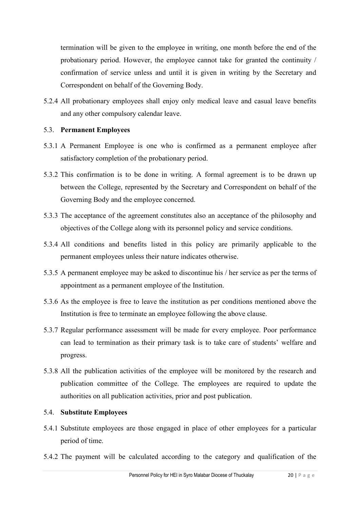termination will be given to the employee in writing, one month before the end of the probationary period. However, the employee cannot take for granted the continuity / confirmation of service unless and until it is given in writing by the Secretary and Correspondent on behalf of the Governing Body.

5.2.4 All probationary employees shall enjoy only medical leave and casual leave benefits and any other compulsory calendar leave.

#### 5.3. **Permanent Employees**

- 5.3.1 A Permanent Employee is one who is confirmed as a permanent employee after satisfactory completion of the probationary period.
- 5.3.2 This confirmation is to be done in writing. A formal agreement is to be drawn up between the College, represented by the Secretary and Correspondent on behalf of the Governing Body and the employee concerned.
- 5.3.3 The acceptance of the agreement constitutes also an acceptance of the philosophy and objectives of the College along with its personnel policy and service conditions.
- 5.3.4 All conditions and benefits listed in this policy are primarily applicable to the permanent employees unless their nature indicates otherwise.
- 5.3.5 A permanent employee may be asked to discontinue his / her service as per the terms of appointment as a permanent employee of the Institution.
- 5.3.6 As the employee is free to leave the institution as per conditions mentioned above the Institution is free to terminate an employee following the above clause.
- 5.3.7 Regular performance assessment will be made for every employee. Poor performance can lead to termination as their primary task is to take care of students' welfare and progress.
- 5.3.8 All the publication activities of the employee will be monitored by the research and publication committee of the College. The employees are required to update the authorities on all publication activities, prior and post publication.

#### 5.4. **Substitute Employees**

- 5.4.1 Substitute employees are those engaged in place of other employees for a particular period of time.
- 5.4.2 The payment will be calculated according to the category and qualification of the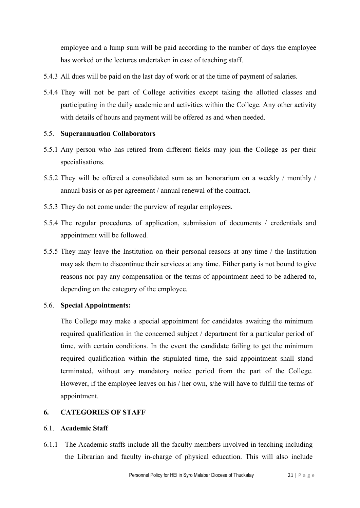employee and a lump sum will be paid according to the number of days the employee has worked or the lectures undertaken in case of teaching staff.

- 5.4.3 All dues will be paid on the last day of work or at the time of payment of salaries.
- 5.4.4 They will not be part of College activities except taking the allotted classes and participating in the daily academic and activities within the College. Any other activity with details of hours and payment will be offered as and when needed.

## 5.5. **Superannuation Collaborators**

- 5.5.1 Any person who has retired from different fields may join the College as per their specialisations.
- 5.5.2 They will be offered a consolidated sum as an honorarium on a weekly / monthly / annual basis or as per agreement / annual renewal of the contract.
- 5.5.3 They do not come under the purview of regular employees.
- 5.5.4 The regular procedures of application, submission of documents / credentials and appointment will be followed.
- 5.5.5 They may leave the Institution on their personal reasons at any time / the Institution may ask them to discontinue their services at any time. Either party is not bound to give reasons nor pay any compensation or the terms of appointment need to be adhered to, depending on the category of the employee.

## 5.6. **Special Appointments:**

The College may make a special appointment for candidates awaiting the minimum required qualification in the concerned subject / department for a particular period of time, with certain conditions. In the event the candidate failing to get the minimum required qualification within the stipulated time, the said appointment shall stand terminated, without any mandatory notice period from the part of the College. However, if the employee leaves on his / her own, s/he will have to fulfill the terms of appointment.

## **6. CATEGORIES OF STAFF**

## 6.1. **Academic Staff**

6.1.1 The Academic staffs include all the faculty members involved in teaching including the Librarian and faculty in-charge of physical education. This will also include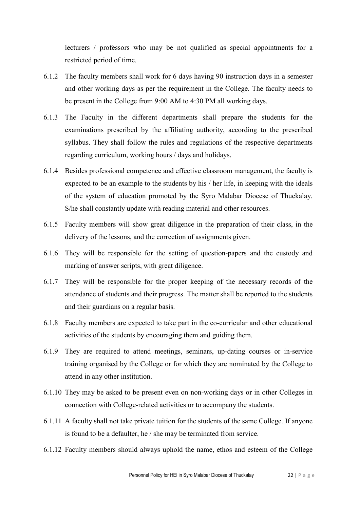lecturers / professors who may be not qualified as special appointments for a restricted period of time.

- 6.1.2 The faculty members shall work for 6 days having 90 instruction days in a semester and other working days as per the requirement in the College. The faculty needs to be present in the College from 9:00 AM to 4:30 PM all working days.
- 6.1.3 The Faculty in the different departments shall prepare the students for the examinations prescribed by the affiliating authority, according to the prescribed syllabus. They shall follow the rules and regulations of the respective departments regarding curriculum, working hours / days and holidays.
- 6.1.4 Besides professional competence and effective classroom management, the faculty is expected to be an example to the students by his / her life, in keeping with the ideals of the system of education promoted by the Syro Malabar Diocese of Thuckalay. S/he shall constantly update with reading material and other resources.
- 6.1.5 Faculty members will show great diligence in the preparation of their class, in the delivery of the lessons, and the correction of assignments given.
- 6.1.6 They will be responsible for the setting of question-papers and the custody and marking of answer scripts, with great diligence.
- 6.1.7 They will be responsible for the proper keeping of the necessary records of the attendance of students and their progress. The matter shall be reported to the students and their guardians on a regular basis.
- 6.1.8 Faculty members are expected to take part in the co-curricular and other educational activities of the students by encouraging them and guiding them.
- 6.1.9 They are required to attend meetings, seminars, up-dating courses or in-service training organised by the College or for which they are nominated by the College to attend in any other institution.
- 6.1.10 They may be asked to be present even on non-working days or in other Colleges in connection with College-related activities or to accompany the students.
- 6.1.11 A faculty shall not take private tuition for the students of the same College. If anyone is found to be a defaulter, he / she may be terminated from service.
- 6.1.12 Faculty members should always uphold the name, ethos and esteem of the College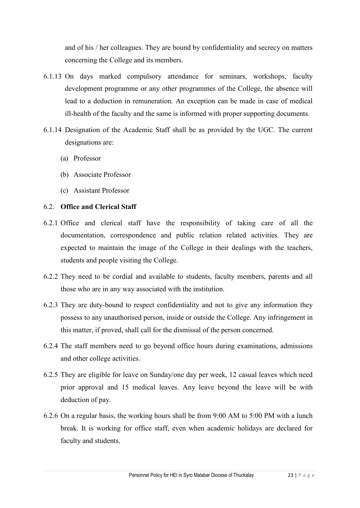and of his / her colleagues. They are bound by confidentiality and secrecy on matters concerning the College and its members.

- 6.1.13 On days marked compulsory attendance for seminars, workshops, faculty development programme or any other programmes of the College, the absence will lead to a deduction in remuneration. An exception can be made in case of medical ill-health of the faculty and the same is informed with proper supporting documents.
- 6.1.14 Designation of the Academic Staff shall be as provided by the UGC. The current designations are:
	- (a) Professor
	- (b) Associate Professor
	- (c) Assistant Professor

## 6.2. **Office and Clerical Staff**

- 6.2.1 Office and clerical staff have the responsibility of taking care of all the documentation, correspondence and public relation related activities. They are expected to maintain the image of the College in their dealings with the teachers, students and people visiting the College.
- 6.2.2 They need to be cordial and available to students, faculty members, parents and all those who are in any way associated with the institution.
- 6.2.3 They are duty-bound to respect confidentiality and not to give any information they possess to any unauthorised person, inside or outside the College. Any infringement in this matter, if proved, shall call for the dismissal of the person concerned.
- 6.2.4 The staff members need to go beyond office hours during examinations, admissions and other college activities.
- 6.2.5 They are eligible for leave on Sunday/one day per week, 12 casual leaves which need prior approval and 15 medical leaves. Any leave beyond the leave will be with deduction of pay.
- 6.2.6 On a regular basis, the working hours shall be from 9:00 AM to 5:00 PM with a lunch break. It is working for office staff, even when academic holidays are declared for faculty and students.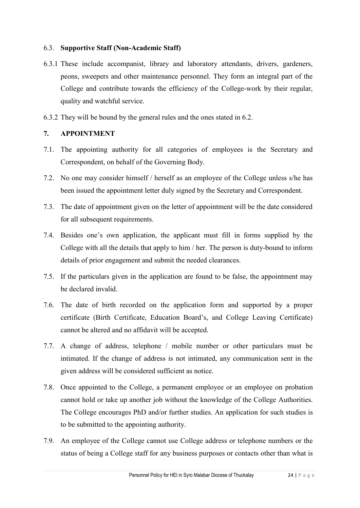#### 6.3. **Supportive Staff (Non-Academic Staff)**

- 6.3.1 These include accompanist, library and laboratory attendants, drivers, gardeners, peons, sweepers and other maintenance personnel. They form an integral part of the College and contribute towards the efficiency of the College-work by their regular, quality and watchful service.
- 6.3.2 They will be bound by the general rules and the ones stated in 6.2.

#### **7. APPOINTMENT**

- 7.1. The appointing authority for all categories of employees is the Secretary and Correspondent, on behalf of the Governing Body.
- 7.2. No one may consider himself / herself as an employee of the College unless s/he has been issued the appointment letter duly signed by the Secretary and Correspondent.
- 7.3. The date of appointment given on the letter of appointment will be the date considered for all subsequent requirements.
- 7.4. Besides one's own application, the applicant must fill in forms supplied by the College with all the details that apply to him / her. The person is duty-bound to inform details of prior engagement and submit the needed clearances.
- 7.5. If the particulars given in the application are found to be false, the appointment may be declared invalid.
- 7.6. The date of birth recorded on the application form and supported by a proper certificate (Birth Certificate, Education Board's, and College Leaving Certificate) cannot be altered and no affidavit will be accepted.
- 7.7. A change of address, telephone / mobile number or other particulars must be intimated. If the change of address is not intimated, any communication sent in the given address will be considered sufficient as notice.
- 7.8. Once appointed to the College, a permanent employee or an employee on probation cannot hold or take up another job without the knowledge of the College Authorities. The College encourages PhD and/or further studies. An application for such studies is to be submitted to the appointing authority.
- 7.9. An employee of the College cannot use College address or telephone numbers or the status of being a College staff for any business purposes or contacts other than what is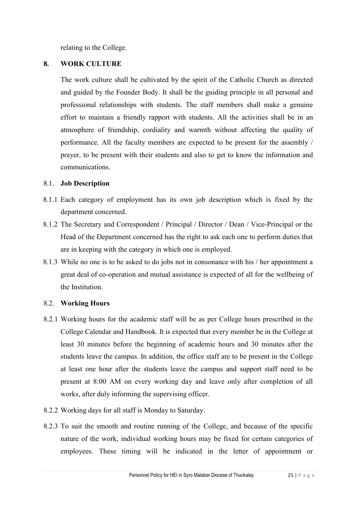relating to the College.

#### **8. WORK CULTURE**

The work culture shall be cultivated by the spirit of the Catholic Church as directed and guided by the Founder Body. It shall be the guiding principle in all personal and professional relationships with students. The staff members shall make a genuine effort to maintain a friendly rapport with students. All the activities shall be in an atmosphere of friendship, cordiality and warmth without affecting the quality of performance. All the faculty members are expected to be present for the assembly / prayer, to be present with their students and also to get to know the information and communications.

#### 8.1. **Job Description**

- 8.1.1 Each category of employment has its own job description which is fixed by the department concerned.
- 8.1.2 The Secretary and Correspondent / Principal / Director / Dean / Vice-Principal or the Head of the Department concerned has the right to ask each one to perform duties that are in keeping with the category in which one is employed.
- 8.1.3 While no one is to be asked to do jobs not in consonance with his / her appointment a great deal of co-operation and mutual assistance is expected of all for the wellbeing of the Institution.

#### 8.2. **Working Hours**

- 8.2.1 Working hours for the academic staff will be as per College hours prescribed in the College Calendar and Handbook. It is expected that every member be in the College at least 30 minutes before the beginning of academic hours and 30 minutes after the students leave the campus. In addition, the office staff are to be present in the College at least one hour after the students leave the campus and support staff need to be present at 8:00 AM on every working day and leave only after completion of all works, after duly informing the supervising officer.
- 8.2.2 Working days for all staff is Monday to Saturday.
- 8.2.3 To suit the smooth and routine running of the College, and because of the specific nature of the work, individual working hours may be fixed for certain categories of employees. These timing will be indicated in the letter of appointment or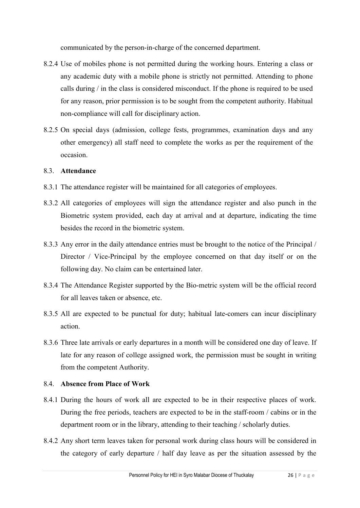communicated by the person-in-charge of the concerned department.

- 8.2.4 Use of mobiles phone is not permitted during the working hours. Entering a class or any academic duty with a mobile phone is strictly not permitted. Attending to phone calls during / in the class is considered misconduct. If the phone is required to be used for any reason, prior permission is to be sought from the competent authority. Habitual non-compliance will call for disciplinary action.
- 8.2.5 On special days (admission, college fests, programmes, examination days and any other emergency) all staff need to complete the works as per the requirement of the occasion.

#### 8.3. **Attendance**

- 8.3.1 The attendance register will be maintained for all categories of employees.
- 8.3.2 All categories of employees will sign the attendance register and also punch in the Biometric system provided, each day at arrival and at departure, indicating the time besides the record in the biometric system.
- 8.3.3 Any error in the daily attendance entries must be brought to the notice of the Principal / Director / Vice-Principal by the employee concerned on that day itself or on the following day. No claim can be entertained later.
- 8.3.4 The Attendance Register supported by the Bio-metric system will be the official record for all leaves taken or absence, etc.
- 8.3.5 All are expected to be punctual for duty; habitual late-comers can incur disciplinary action.
- 8.3.6 Three late arrivals or early departures in a month will be considered one day of leave. If late for any reason of college assigned work, the permission must be sought in writing from the competent Authority.

#### 8.4. **Absence from Place of Work**

- 8.4.1 During the hours of work all are expected to be in their respective places of work. During the free periods, teachers are expected to be in the staff-room / cabins or in the department room or in the library, attending to their teaching / scholarly duties.
- 8.4.2 Any short term leaves taken for personal work during class hours will be considered in the category of early departure / half day leave as per the situation assessed by the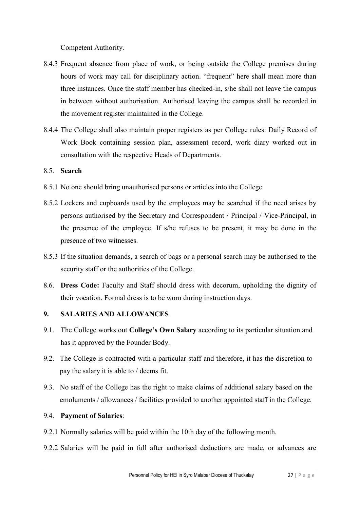Competent Authority.

- 8.4.3 Frequent absence from place of work, or being outside the College premises during hours of work may call for disciplinary action. "frequent" here shall mean more than three instances. Once the staff member has checked-in, s/he shall not leave the campus in between without authorisation. Authorised leaving the campus shall be recorded in the movement register maintained in the College.
- 8.4.4 The College shall also maintain proper registers as per College rules: Daily Record of Work Book containing session plan, assessment record, work diary worked out in consultation with the respective Heads of Departments.

#### 8.5. **Search**

- 8.5.1 No one should bring unauthorised persons or articles into the College.
- 8.5.2 Lockers and cupboards used by the employees may be searched if the need arises by persons authorised by the Secretary and Correspondent / Principal / Vice-Principal, in the presence of the employee. If s/he refuses to be present, it may be done in the presence of two witnesses.
- 8.5.3 If the situation demands, a search of bags or a personal search may be authorised to the security staff or the authorities of the College.
- 8.6. **Dress Code:** Faculty and Staff should dress with decorum, upholding the dignity of their vocation. Formal dress is to be worn during instruction days.

#### **9. SALARIES AND ALLOWANCES**

- 9.1. The College works out **College's Own Salary** according to its particular situation and has it approved by the Founder Body.
- 9.2. The College is contracted with a particular staff and therefore, it has the discretion to pay the salary it is able to / deems fit.
- 9.3. No staff of the College has the right to make claims of additional salary based on the emoluments / allowances / facilities provided to another appointed staff in the College.

#### 9.4. **Payment of Salaries**:

- 9.2.1 Normally salaries will be paid within the 10th day of the following month.
- 9.2.2 Salaries will be paid in full after authorised deductions are made, or advances are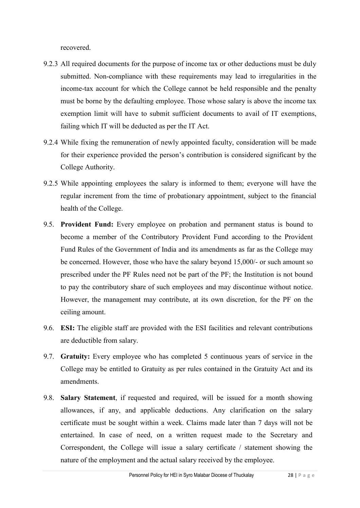recovered.

- 9.2.3 All required documents for the purpose of income tax or other deductions must be duly submitted. Non-compliance with these requirements may lead to irregularities in the income-tax account for which the College cannot be held responsible and the penalty must be borne by the defaulting employee. Those whose salary is above the income tax exemption limit will have to submit sufficient documents to avail of IT exemptions, failing which IT will be deducted as per the IT Act.
- 9.2.4 While fixing the remuneration of newly appointed faculty, consideration will be made for their experience provided the person's contribution is considered significant by the College Authority.
- 9.2.5 While appointing employees the salary is informed to them; everyone will have the regular increment from the time of probationary appointment, subject to the financial health of the College.
- 9.5. **Provident Fund:** Every employee on probation and permanent status is bound to become a member of the Contributory Provident Fund according to the Provident Fund Rules of the Government of India and its amendments as far as the College may be concerned. However, those who have the salary beyond 15,000/- or such amount so prescribed under the PF Rules need not be part of the PF; the Institution is not bound to pay the contributory share of such employees and may discontinue without notice. However, the management may contribute, at its own discretion, for the PF on the ceiling amount.
- 9.6. **ESI:** The eligible staff are provided with the ESI facilities and relevant contributions are deductible from salary.
- 9.7. **Gratuity:** Every employee who has completed 5 continuous years of service in the College may be entitled to Gratuity as per rules contained in the Gratuity Act and its amendments.
- 9.8. **Salary Statement**, if requested and required, will be issued for a month showing allowances, if any, and applicable deductions. Any clarification on the salary certificate must be sought within a week. Claims made later than 7 days will not be entertained. In case of need, on a written request made to the Secretary and Correspondent, the College will issue a salary certificate / statement showing the nature of the employment and the actual salary received by the employee.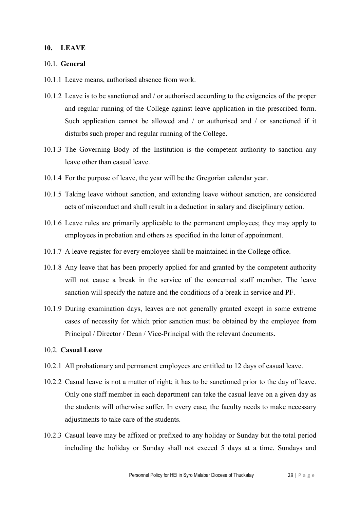#### **10. LEAVE**

#### 10.1. **General**

- 10.1.1 Leave means, authorised absence from work.
- 10.1.2 Leave is to be sanctioned and / or authorised according to the exigencies of the proper and regular running of the College against leave application in the prescribed form. Such application cannot be allowed and / or authorised and / or sanctioned if it disturbs such proper and regular running of the College.
- 10.1.3 The Governing Body of the Institution is the competent authority to sanction any leave other than casual leave.
- 10.1.4 For the purpose of leave, the year will be the Gregorian calendar year.
- 10.1.5 Taking leave without sanction, and extending leave without sanction, are considered acts of misconduct and shall result in a deduction in salary and disciplinary action.
- 10.1.6 Leave rules are primarily applicable to the permanent employees; they may apply to employees in probation and others as specified in the letter of appointment.
- 10.1.7 A leave-register for every employee shall be maintained in the College office.
- 10.1.8 Any leave that has been properly applied for and granted by the competent authority will not cause a break in the service of the concerned staff member. The leave sanction will specify the nature and the conditions of a break in service and PF.
- 10.1.9 During examination days, leaves are not generally granted except in some extreme cases of necessity for which prior sanction must be obtained by the employee from Principal / Director / Dean / Vice-Principal with the relevant documents.

#### 10.2. **Casual Leave**

- 10.2.1 All probationary and permanent employees are entitled to 12 days of casual leave.
- 10.2.2 Casual leave is not a matter of right; it has to be sanctioned prior to the day of leave. Only one staff member in each department can take the casual leave on a given day as the students will otherwise suffer. In every case, the faculty needs to make necessary adjustments to take care of the students.
- 10.2.3 Casual leave may be affixed or prefixed to any holiday or Sunday but the total period including the holiday or Sunday shall not exceed 5 days at a time. Sundays and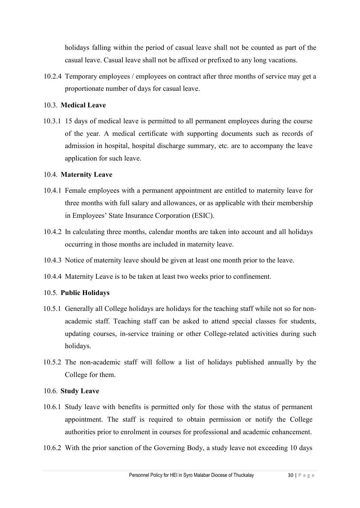holidays falling within the period of casual leave shall not be counted as part of the casual leave. Casual leave shall not be affixed or prefixed to any long vacations.

10.2.4 Temporary employees / employees on contract after three months of service may get a proportionate number of days for casual leave.

#### 10.3. **Medical Leave**

10.3.1 15 days of medical leave is permitted to all permanent employees during the course of the year. A medical certificate with supporting documents such as records of admission in hospital, hospital discharge summary, etc. are to accompany the leave application for such leave.

#### 10.4. **Maternity Leave**

- 10.4.1 Female employees with a permanent appointment are entitled to maternity leave for three months with full salary and allowances, or as applicable with their membership in Employees' State Insurance Corporation (ESIC).
- 10.4.2 In calculating three months, calendar months are taken into account and all holidays occurring in those months are included in maternity leave.
- 10.4.3 Notice of maternity leave should be given at least one month prior to the leave.
- 10.4.4 Maternity Leave is to be taken at least two weeks prior to confinement.

## 10.5. **Public Holidays**

- 10.5.1 Generally all College holidays are holidays for the teaching staff while not so for nonacademic staff. Teaching staff can be asked to attend special classes for students, updating courses, in-service training or other College-related activities during such holidays.
- 10.5.2 The non-academic staff will follow a list of holidays published annually by the College for them.

#### 10.6. **Study Leave**

- 10.6.1 Study leave with benefits is permitted only for those with the status of permanent appointment. The staff is required to obtain permission or notify the College authorities prior to enrolment in courses for professional and academic enhancement.
- 10.6.2 With the prior sanction of the Governing Body, a study leave not exceeding 10 days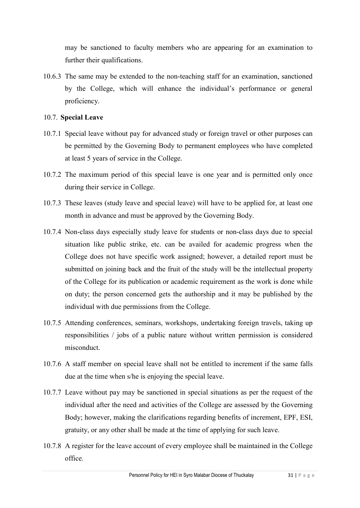may be sanctioned to faculty members who are appearing for an examination to further their qualifications.

10.6.3 The same may be extended to the non-teaching staff for an examination, sanctioned by the College, which will enhance the individual's performance or general proficiency.

#### 10.7. **Special Leave**

- 10.7.1 Special leave without pay for advanced study or foreign travel or other purposes can be permitted by the Governing Body to permanent employees who have completed at least 5 years of service in the College.
- 10.7.2 The maximum period of this special leave is one year and is permitted only once during their service in College.
- 10.7.3 These leaves (study leave and special leave) will have to be applied for, at least one month in advance and must be approved by the Governing Body.
- 10.7.4 Non-class days especially study leave for students or non-class days due to special situation like public strike, etc. can be availed for academic progress when the College does not have specific work assigned; however, a detailed report must be submitted on joining back and the fruit of the study will be the intellectual property of the College for its publication or academic requirement as the work is done while on duty; the person concerned gets the authorship and it may be published by the individual with due permissions from the College.
- 10.7.5 Attending conferences, seminars, workshops, undertaking foreign travels, taking up responsibilities / jobs of a public nature without written permission is considered misconduct.
- 10.7.6 A staff member on special leave shall not be entitled to increment if the same falls due at the time when s/he is enjoying the special leave.
- 10.7.7 Leave without pay may be sanctioned in special situations as per the request of the individual after the need and activities of the College are assessed by the Governing Body; however, making the clarifications regarding benefits of increment, EPF, ESI, gratuity, or any other shall be made at the time of applying for such leave.
- 10.7.8 A register for the leave account of every employee shall be maintained in the College office.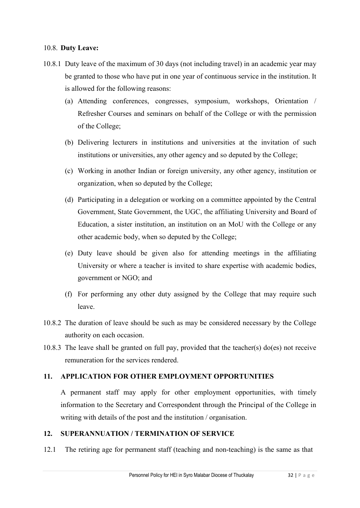#### 10.8. **Duty Leave:**

- 10.8.1 Duty leave of the maximum of 30 days (not including travel) in an academic year may be granted to those who have put in one year of continuous service in the institution. It is allowed for the following reasons:
	- (a) Attending conferences, congresses, symposium, workshops, Orientation / Refresher Courses and seminars on behalf of the College or with the permission of the College;
	- (b) Delivering lecturers in institutions and universities at the invitation of such institutions or universities, any other agency and so deputed by the College;
	- (c) Working in another Indian or foreign university, any other agency, institution or organization, when so deputed by the College;
	- (d) Participating in a delegation or working on a committee appointed by the Central Government, State Government, the UGC, the affiliating University and Board of Education, a sister institution, an institution on an MoU with the College or any other academic body, when so deputed by the College;
	- (e) Duty leave should be given also for attending meetings in the affiliating University or where a teacher is invited to share expertise with academic bodies, government or NGO; and
	- (f) For performing any other duty assigned by the College that may require such leave.
- 10.8.2 The duration of leave should be such as may be considered necessary by the College authority on each occasion.
- 10.8.3 The leave shall be granted on full pay, provided that the teacher(s) do(es) not receive remuneration for the services rendered.

#### **11. APPLICATION FOR OTHER EMPLOYMENT OPPORTUNITIES**

A permanent staff may apply for other employment opportunities, with timely information to the Secretary and Correspondent through the Principal of the College in writing with details of the post and the institution / organisation.

## **12. SUPERANNUATION / TERMINATION OF SERVICE**

12.1 The retiring age for permanent staff (teaching and non-teaching) is the same as that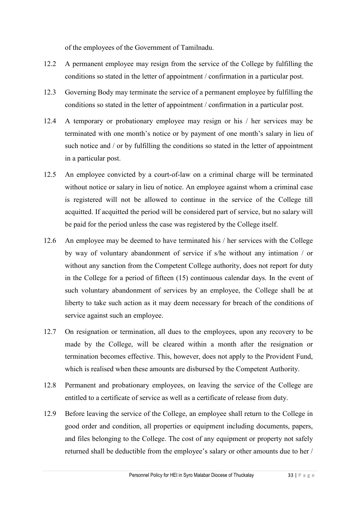of the employees of the Government of Tamilnadu.

- 12.2 A permanent employee may resign from the service of the College by fulfilling the conditions so stated in the letter of appointment / confirmation in a particular post.
- 12.3 Governing Body may terminate the service of a permanent employee by fulfilling the conditions so stated in the letter of appointment / confirmation in a particular post.
- 12.4 A temporary or probationary employee may resign or his / her services may be terminated with one month's notice or by payment of one month's salary in lieu of such notice and / or by fulfilling the conditions so stated in the letter of appointment in a particular post.
- 12.5 An employee convicted by a court-of-law on a criminal charge will be terminated without notice or salary in lieu of notice. An employee against whom a criminal case is registered will not be allowed to continue in the service of the College till acquitted. If acquitted the period will be considered part of service, but no salary will be paid for the period unless the case was registered by the College itself.
- 12.6 An employee may be deemed to have terminated his / her services with the College by way of voluntary abandonment of service if s/he without any intimation / or without any sanction from the Competent College authority, does not report for duty in the College for a period of fifteen (15) continuous calendar days. In the event of such voluntary abandonment of services by an employee, the College shall be at liberty to take such action as it may deem necessary for breach of the conditions of service against such an employee.
- 12.7 On resignation or termination, all dues to the employees, upon any recovery to be made by the College, will be cleared within a month after the resignation or termination becomes effective. This, however, does not apply to the Provident Fund, which is realised when these amounts are disbursed by the Competent Authority.
- 12.8 Permanent and probationary employees, on leaving the service of the College are entitled to a certificate of service as well as a certificate of release from duty.
- 12.9 Before leaving the service of the College, an employee shall return to the College in good order and condition, all properties or equipment including documents, papers, and files belonging to the College. The cost of any equipment or property not safely returned shall be deductible from the employee's salary or other amounts due to her /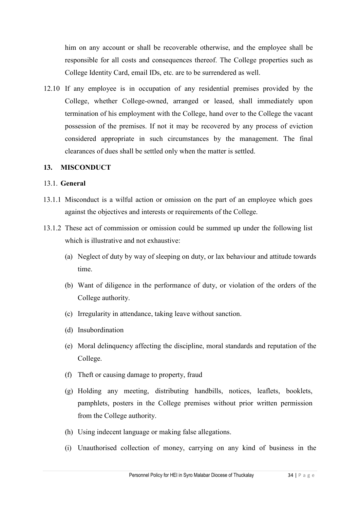him on any account or shall be recoverable otherwise, and the employee shall be responsible for all costs and consequences thereof. The College properties such as College Identity Card, email IDs, etc. are to be surrendered as well.

12.10 If any employee is in occupation of any residential premises provided by the College, whether College-owned, arranged or leased, shall immediately upon termination of his employment with the College, hand over to the College the vacant possession of the premises. If not it may be recovered by any process of eviction considered appropriate in such circumstances by the management. The final clearances of dues shall be settled only when the matter is settled.

#### **13. MISCONDUCT**

#### 13.1. **General**

- 13.1.1 Misconduct is a wilful action or omission on the part of an employee which goes against the objectives and interests or requirements of the College.
- 13.1.2 These act of commission or omission could be summed up under the following list which is illustrative and not exhaustive:
	- (a) Neglect of duty by way of sleeping on duty, or lax behaviour and attitude towards time.
	- (b) Want of diligence in the performance of duty, or violation of the orders of the College authority.
	- (c) Irregularity in attendance, taking leave without sanction.
	- (d) Insubordination
	- (e) Moral delinquency affecting the discipline, moral standards and reputation of the College.
	- (f) Theft or causing damage to property, fraud
	- (g) Holding any meeting, distributing handbills, notices, leaflets, booklets, pamphlets, posters in the College premises without prior written permission from the College authority.
	- (h) Using indecent language or making false allegations.
	- (i) Unauthorised collection of money, carrying on any kind of business in the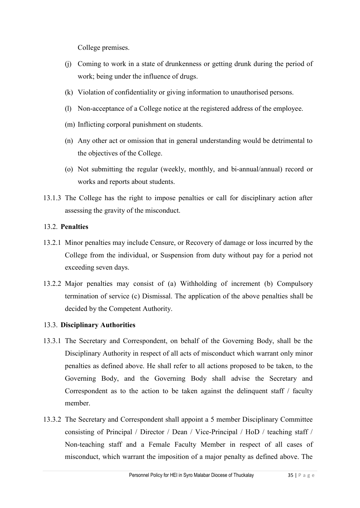College premises.

- (j) Coming to work in a state of drunkenness or getting drunk during the period of work; being under the influence of drugs.
- (k) Violation of confidentiality or giving information to unauthorised persons.
- (l) Non-acceptance of a College notice at the registered address of the employee.
- (m) Inflicting corporal punishment on students.
- (n) Any other act or omission that in general understanding would be detrimental to the objectives of the College.
- (o) Not submitting the regular (weekly, monthly, and bi-annual/annual) record or works and reports about students.
- 13.1.3 The College has the right to impose penalties or call for disciplinary action after assessing the gravity of the misconduct.

## 13.2. **Penalties**

- 13.2.1 Minor penalties may include Censure, or Recovery of damage or loss incurred by the College from the individual, or Suspension from duty without pay for a period not exceeding seven days.
- 13.2.2 Major penalties may consist of (a) Withholding of increment (b) Compulsory termination of service (c) Dismissal. The application of the above penalties shall be decided by the Competent Authority.

## 13.3. **Disciplinary Authorities**

- 13.3.1 The Secretary and Correspondent, on behalf of the Governing Body, shall be the Disciplinary Authority in respect of all acts of misconduct which warrant only minor penalties as defined above. He shall refer to all actions proposed to be taken, to the Governing Body, and the Governing Body shall advise the Secretary and Correspondent as to the action to be taken against the delinquent staff / faculty member.
- 13.3.2 The Secretary and Correspondent shall appoint a 5 member Disciplinary Committee consisting of Principal / Director / Dean / Vice-Principal / HoD / teaching staff / Non-teaching staff and a Female Faculty Member in respect of all cases of misconduct, which warrant the imposition of a major penalty as defined above. The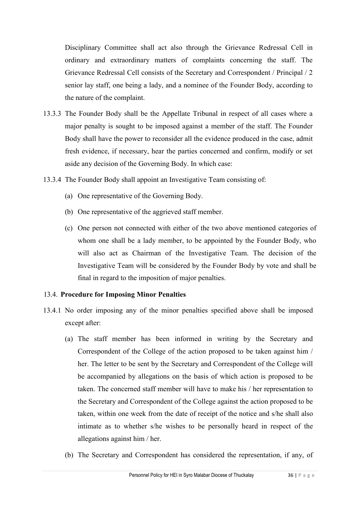Disciplinary Committee shall act also through the Grievance Redressal Cell in ordinary and extraordinary matters of complaints concerning the staff. The Grievance Redressal Cell consists of the Secretary and Correspondent / Principal / 2 senior lay staff, one being a lady, and a nominee of the Founder Body, according to the nature of the complaint.

- 13.3.3 The Founder Body shall be the Appellate Tribunal in respect of all cases where a major penalty is sought to be imposed against a member of the staff. The Founder Body shall have the power to reconsider all the evidence produced in the case, admit fresh evidence, if necessary, hear the parties concerned and confirm, modify or set aside any decision of the Governing Body. In which case:
- 13.3.4 The Founder Body shall appoint an Investigative Team consisting of:
	- (a) One representative of the Governing Body.
	- (b) One representative of the aggrieved staff member.
	- (c) One person not connected with either of the two above mentioned categories of whom one shall be a lady member, to be appointed by the Founder Body, who will also act as Chairman of the Investigative Team. The decision of the Investigative Team will be considered by the Founder Body by vote and shall be final in regard to the imposition of major penalties.

## 13.4. **Procedure for Imposing Minor Penalties**

- 13.4.1 No order imposing any of the minor penalties specified above shall be imposed except after:
	- (a) The staff member has been informed in writing by the Secretary and Correspondent of the College of the action proposed to be taken against him / her. The letter to be sent by the Secretary and Correspondent of the College will be accompanied by allegations on the basis of which action is proposed to be taken. The concerned staff member will have to make his / her representation to the Secretary and Correspondent of the College against the action proposed to be taken, within one week from the date of receipt of the notice and s/he shall also intimate as to whether s/he wishes to be personally heard in respect of the allegations against him / her.
	- (b) The Secretary and Correspondent has considered the representation, if any, of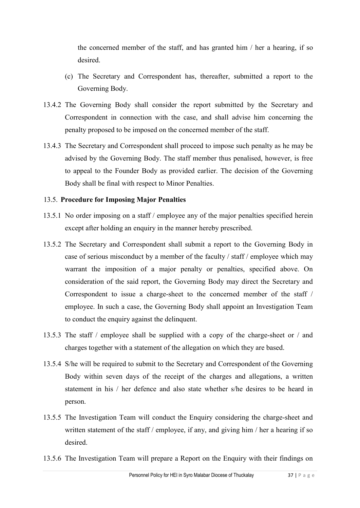the concerned member of the staff, and has granted him / her a hearing, if so desired.

- (c) The Secretary and Correspondent has, thereafter, submitted a report to the Governing Body.
- 13.4.2 The Governing Body shall consider the report submitted by the Secretary and Correspondent in connection with the case, and shall advise him concerning the penalty proposed to be imposed on the concerned member of the staff.
- 13.4.3 The Secretary and Correspondent shall proceed to impose such penalty as he may be advised by the Governing Body. The staff member thus penalised, however, is free to appeal to the Founder Body as provided earlier. The decision of the Governing Body shall be final with respect to Minor Penalties.

## 13.5. **Procedure for Imposing Major Penalties**

- 13.5.1 No order imposing on a staff / employee any of the major penalties specified herein except after holding an enquiry in the manner hereby prescribed.
- 13.5.2 The Secretary and Correspondent shall submit a report to the Governing Body in case of serious misconduct by a member of the faculty / staff / employee which may warrant the imposition of a major penalty or penalties, specified above. On consideration of the said report, the Governing Body may direct the Secretary and Correspondent to issue a charge-sheet to the concerned member of the staff / employee. In such a case, the Governing Body shall appoint an Investigation Team to conduct the enquiry against the delinquent.
- 13.5.3 The staff / employee shall be supplied with a copy of the charge-sheet or / and charges together with a statement of the allegation on which they are based.
- 13.5.4 S/he will be required to submit to the Secretary and Correspondent of the Governing Body within seven days of the receipt of the charges and allegations, a written statement in his / her defence and also state whether s/he desires to be heard in person.
- 13.5.5 The Investigation Team will conduct the Enquiry considering the charge-sheet and written statement of the staff / employee, if any, and giving him / her a hearing if so desired.
- 13.5.6 The Investigation Team will prepare a Report on the Enquiry with their findings on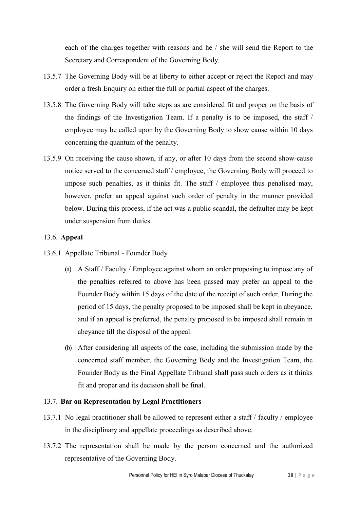each of the charges together with reasons and he / she will send the Report to the Secretary and Correspondent of the Governing Body.

- 13.5.7 The Governing Body will be at liberty to either accept or reject the Report and may order a fresh Enquiry on either the full or partial aspect of the charges.
- 13.5.8 The Governing Body will take steps as are considered fit and proper on the basis of the findings of the Investigation Team. If a penalty is to be imposed, the staff / employee may be called upon by the Governing Body to show cause within 10 days concerning the quantum of the penalty.
- 13.5.9 On receiving the cause shown, if any, or after 10 days from the second show-cause notice served to the concerned staff / employee, the Governing Body will proceed to impose such penalties, as it thinks fit. The staff / employee thus penalised may, however, prefer an appeal against such order of penalty in the manner provided below. During this process, if the act was a public scandal, the defaulter may be kept under suspension from duties.

## 13.6. **Appeal**

- 13.6.1 Appellate Tribunal Founder Body
	- (a) A Staff / Faculty / Employee against whom an order proposing to impose any of the penalties referred to above has been passed may prefer an appeal to the Founder Body within 15 days of the date of the receipt of such order. During the period of 15 days, the penalty proposed to be imposed shall be kept in abeyance, and if an appeal is preferred, the penalty proposed to be imposed shall remain in abeyance till the disposal of the appeal.
	- (b) After considering all aspects of the case, including the submission made by the concerned staff member, the Governing Body and the Investigation Team, the Founder Body as the Final Appellate Tribunal shall pass such orders as it thinks fit and proper and its decision shall be final.

## 13.7. **Bar on Representation by Legal Practitioners**

- 13.7.1 No legal practitioner shall be allowed to represent either a staff / faculty / employee in the disciplinary and appellate proceedings as described above.
- 13.7.2 The representation shall be made by the person concerned and the authorized representative of the Governing Body.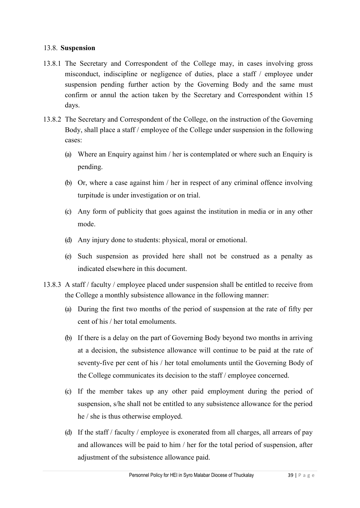#### 13.8. **Suspension**

- 13.8.1 The Secretary and Correspondent of the College may, in cases involving gross misconduct, indiscipline or negligence of duties, place a staff / employee under suspension pending further action by the Governing Body and the same must confirm or annul the action taken by the Secretary and Correspondent within 15 days.
- 13.8.2 The Secretary and Correspondent of the College, on the instruction of the Governing Body, shall place a staff / employee of the College under suspension in the following cases:
	- (a) Where an Enquiry against him / her is contemplated or where such an Enquiry is pending.
	- (b) Or, where a case against him / her in respect of any criminal offence involving turpitude is under investigation or on trial.
	- (c) Any form of publicity that goes against the institution in media or in any other mode.
	- (d) Any injury done to students: physical, moral or emotional.
	- (e) Such suspension as provided here shall not be construed as a penalty as indicated elsewhere in this document.
- 13.8.3 A staff / faculty / employee placed under suspension shall be entitled to receive from the College a monthly subsistence allowance in the following manner:
	- (a) During the first two months of the period of suspension at the rate of fifty per cent of his / her total emoluments.
	- (b) If there is a delay on the part of Governing Body beyond two months in arriving at a decision, the subsistence allowance will continue to be paid at the rate of seventy-five per cent of his / her total emoluments until the Governing Body of the College communicates its decision to the staff / employee concerned.
	- (c) If the member takes up any other paid employment during the period of suspension, s/he shall not be entitled to any subsistence allowance for the period he / she is thus otherwise employed.
	- (d) If the staff / faculty / employee is exonerated from all charges, all arrears of pay and allowances will be paid to him / her for the total period of suspension, after adjustment of the subsistence allowance paid.